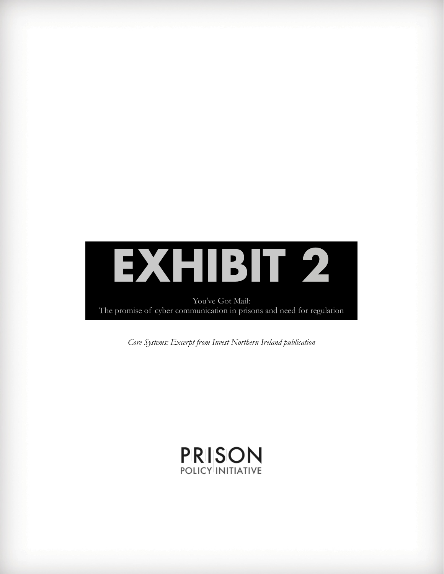

*Core Systems: Excerpt from Invest Northern Ireland publication*

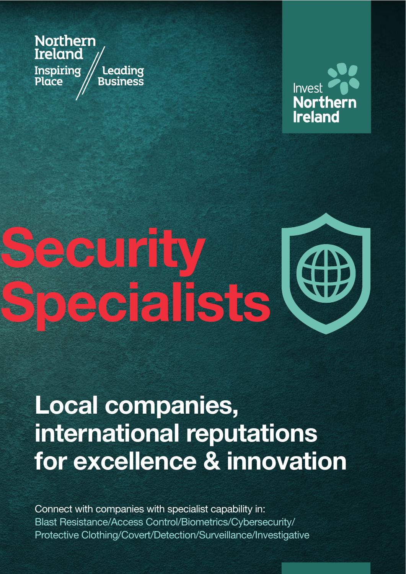**Northern Ireland** Inspiring Leading Place Business



# ecurity<br>pecialists

# **Local companies,** international reputations for excellence & innovation

Connect with companies with specialist capability in: Blast Resistance/Access Control/Biometrics/Cybersecurity/ Protective Clothing/Covert/Detection/Surveillance/Investigative